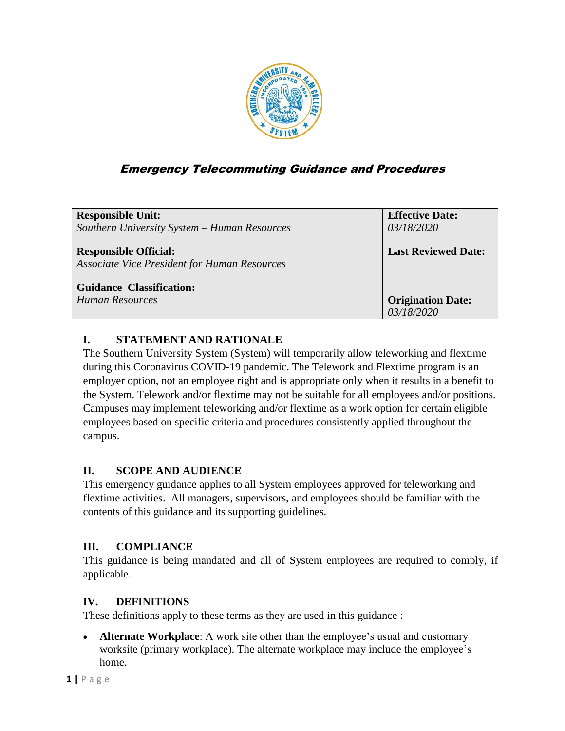

# Emergency Telecommuting Guidance and Procedures

| <b>Responsible Unit:</b>                                                            | <b>Effective Date:</b>     |
|-------------------------------------------------------------------------------------|----------------------------|
| Southern University System - Human Resources                                        | 03/18/2020                 |
| <b>Responsible Official:</b><br><b>Associate Vice President for Human Resources</b> | <b>Last Reviewed Date:</b> |
| <b>Guidance Classification:</b>                                                     | <b>Origination Date:</b>   |
| Human Resources                                                                     | 03/18/2020                 |

## **I. STATEMENT AND RATIONALE**

The Southern University System (System) will temporarily allow teleworking and flextime during this Coronavirus COVID-19 pandemic. The Telework and Flextime program is an employer option, not an employee right and is appropriate only when it results in a benefit to the System. Telework and/or flextime may not be suitable for all employees and/or positions. Campuses may implement teleworking and/or flextime as a work option for certain eligible employees based on specific criteria and procedures consistently applied throughout the campus.

## **II. SCOPE AND AUDIENCE**

This emergency guidance applies to all System employees approved for teleworking and flextime activities. All managers, supervisors, and employees should be familiar with the contents of this guidance and its supporting guidelines.

### **III. COMPLIANCE**

This guidance is being mandated and all of System employees are required to comply, if applicable.

### **IV. DEFINITIONS**

These definitions apply to these terms as they are used in this guidance :

 **Alternate Workplace**: A work site other than the employee's usual and customary worksite (primary workplace). The alternate workplace may include the employee's home.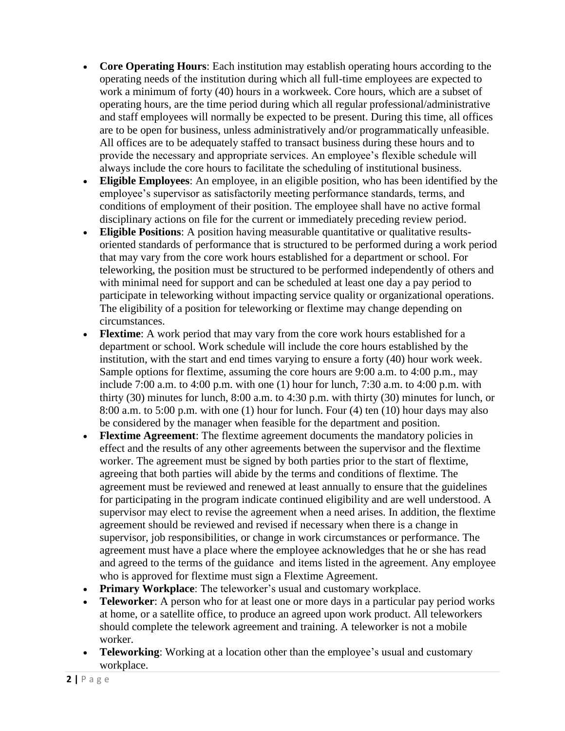- Core Operating Hours: Each institution may establish operating hours according to the operating needs of the institution during which all full-time employees are expected to work a minimum of forty (40) hours in a workweek. Core hours, which are a subset of operating hours, are the time period during which all regular professional/administrative and staff employees will normally be expected to be present. During this time, all offices are to be open for business, unless administratively and/or programmatically unfeasible. All offices are to be adequately staffed to transact business during these hours and to provide the necessary and appropriate services. An employee's flexible schedule will always include the core hours to facilitate the scheduling of institutional business.
- **Eligible Employees**: An employee, in an eligible position, who has been identified by the employee's supervisor as satisfactorily meeting performance standards, terms, and conditions of employment of their position. The employee shall have no active formal disciplinary actions on file for the current or immediately preceding review period.
- **Eligible Positions**: A position having measurable quantitative or qualitative resultsoriented standards of performance that is structured to be performed during a work period that may vary from the core work hours established for a department or school. For teleworking, the position must be structured to be performed independently of others and with minimal need for support and can be scheduled at least one day a pay period to participate in teleworking without impacting service quality or organizational operations. The eligibility of a position for teleworking or flextime may change depending on circumstances.
- **Flextime**: A work period that may vary from the core work hours established for a department or school. Work schedule will include the core hours established by the institution, with the start and end times varying to ensure a forty (40) hour work week. Sample options for flextime, assuming the core hours are 9:00 a.m. to 4:00 p.m., may include 7:00 a.m. to 4:00 p.m. with one  $(1)$  hour for lunch, 7:30 a.m. to 4:00 p.m. with thirty (30) minutes for lunch, 8:00 a.m. to 4:30 p.m. with thirty (30) minutes for lunch, or 8:00 a.m. to 5:00 p.m. with one (1) hour for lunch. Four (4) ten (10) hour days may also be considered by the manager when feasible for the department and position.
- **Flextime Agreement**: The flextime agreement documents the mandatory policies in effect and the results of any other agreements between the supervisor and the flextime worker. The agreement must be signed by both parties prior to the start of flextime, agreeing that both parties will abide by the terms and conditions of flextime. The agreement must be reviewed and renewed at least annually to ensure that the guidelines for participating in the program indicate continued eligibility and are well understood. A supervisor may elect to revise the agreement when a need arises. In addition, the flextime agreement should be reviewed and revised if necessary when there is a change in supervisor, job responsibilities, or change in work circumstances or performance. The agreement must have a place where the employee acknowledges that he or she has read and agreed to the terms of the guidance and items listed in the agreement. Any employee who is approved for flextime must sign a Flextime Agreement.
- **Primary Workplace**: The teleworker's usual and customary workplace.
- **Teleworker**: A person who for at least one or more days in a particular pay period works at home, or a satellite office, to produce an agreed upon work product. All teleworkers should complete the telework agreement and training. A teleworker is not a mobile worker.
- **Teleworking**: Working at a location other than the employee's usual and customary workplace.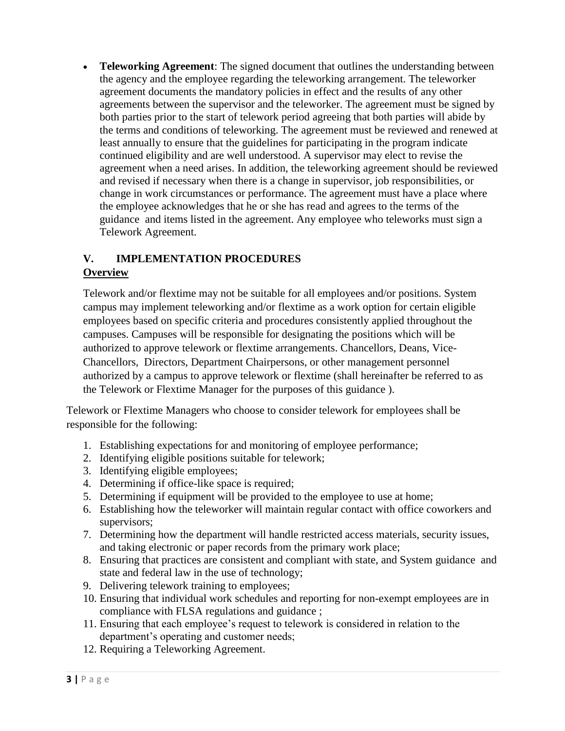**Teleworking Agreement**: The signed document that outlines the understanding between the agency and the employee regarding the teleworking arrangement. The teleworker agreement documents the mandatory policies in effect and the results of any other agreements between the supervisor and the teleworker. The agreement must be signed by both parties prior to the start of telework period agreeing that both parties will abide by the terms and conditions of teleworking. The agreement must be reviewed and renewed at least annually to ensure that the guidelines for participating in the program indicate continued eligibility and are well understood. A supervisor may elect to revise the agreement when a need arises. In addition, the teleworking agreement should be reviewed and revised if necessary when there is a change in supervisor, job responsibilities, or change in work circumstances or performance. The agreement must have a place where the employee acknowledges that he or she has read and agrees to the terms of the guidance and items listed in the agreement. Any employee who teleworks must sign a Telework Agreement.

## **V. IMPLEMENTATION PROCEDURES**

### **Overview**

Telework and/or flextime may not be suitable for all employees and/or positions. System campus may implement teleworking and/or flextime as a work option for certain eligible employees based on specific criteria and procedures consistently applied throughout the campuses. Campuses will be responsible for designating the positions which will be authorized to approve telework or flextime arrangements. Chancellors, Deans, Vice-Chancellors, Directors, Department Chairpersons, or other management personnel authorized by a campus to approve telework or flextime (shall hereinafter be referred to as the Telework or Flextime Manager for the purposes of this guidance ).

Telework or Flextime Managers who choose to consider telework for employees shall be responsible for the following:

- 1. Establishing expectations for and monitoring of employee performance;
- 2. Identifying eligible positions suitable for telework;
- 3. Identifying eligible employees;
- 4. Determining if office-like space is required;
- 5. Determining if equipment will be provided to the employee to use at home;
- 6. Establishing how the teleworker will maintain regular contact with office coworkers and supervisors;
- 7. Determining how the department will handle restricted access materials, security issues, and taking electronic or paper records from the primary work place;
- 8. Ensuring that practices are consistent and compliant with state, and System guidance and state and federal law in the use of technology;
- 9. Delivering telework training to employees;
- 10. Ensuring that individual work schedules and reporting for non-exempt employees are in compliance with FLSA regulations and guidance ;
- 11. Ensuring that each employee's request to telework is considered in relation to the department's operating and customer needs;
- 12. Requiring a Teleworking Agreement.